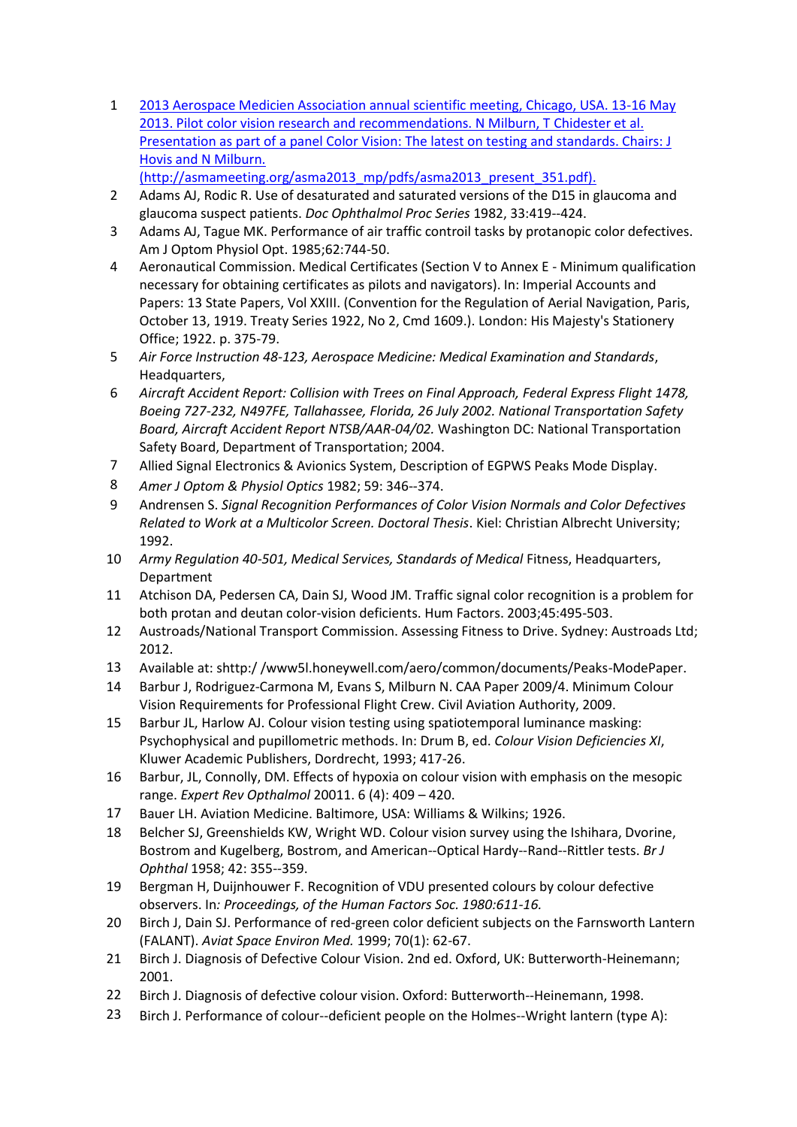- 1 [2013 Aerospace Medicien Association annual scientific meeting, Chicago, USA. 13-16 May](http://asmameeting.org/asma2013_mp/pdfs/asma2013_present_351.pdf))  [2013. Pilot color vision research and recommendations. N Milburn, T Chidester et al.](http://asmameeting.org/asma2013_mp/pdfs/asma2013_present_351.pdf))  [Presentation as part of a panel Color Vision: The latest on testing and standards. Chairs: J](http://asmameeting.org/asma2013_mp/pdfs/asma2013_present_351.pdf))  [Hovis and N Milburn.](http://asmameeting.org/asma2013_mp/pdfs/asma2013_present_351.pdf))  [\(http://asmameeting.org/asma2013\\_mp/pdfs/asma2013\\_present\\_351.pdf\).](http://asmameeting.org/asma2013_mp/pdfs/asma2013_present_351.pdf))
- 2 Adams AJ, Rodic R. Use of desaturated and saturated versions of the D15 in glaucoma and glaucoma suspect patients. *Doc Ophthalmol Proc Series* 1982, 33:419-‐424.
- 3 Adams AJ, Tague MK. Performance of air traffic controil tasks by protanopic color defectives. Am J Optom Physiol Opt. 1985;62:744-50.
- 4 Aeronautical Commission. Medical Certificates (Section V to Annex E Minimum qualification necessary for obtaining certificates as pilots and navigators). In: Imperial Accounts and Papers: 13 State Papers, Vol XXIII. (Convention for the Regulation of Aerial Navigation, Paris, October 13, 1919. Treaty Series 1922, No 2, Cmd 1609.). London: His Majesty's Stationery Office; 1922. p. 375-79.
- 5 *Air Force Instruction 48-123, Aerospace Medicine: Medical Examination and Standards*, Headquarters.
- 6 *Aircraft Accident Report: Collision with Trees on Final Approach, Federal Express Flight 1478, Boeing 727-232, N497FE, Tallahassee, Florida, 26 July 2002. National Transportation Safety Board, Aircraft Accident Report NTSB/AAR-04/02.* Washington DC: National Transportation Safety Board, Department of Transportation; 2004.
- 7 Allied Signal Electronics & Avionics System, Description of EGPWS Peaks Mode Display.
- 8 *Amer J Optom & Physiol Optics* 1982; 59: 346-‐374.
- 9 Andrensen S. *Signal Recognition Performances of Color Vision Normals and Color Defectives Related to Work at a Multicolor Screen. Doctoral Thesis*. Kiel: Christian Albrecht University; 1992.
- 10 *Army Regulation 40-501, Medical Services, Standards of Medical* Fitness, Headquarters, Department
- 11 Atchison DA, Pedersen CA, Dain SJ, Wood JM. Traffic signal color recognition is a problem for both protan and deutan color-vision deficients. Hum Factors. 2003;45:495-503.
- 12 Austroads/National Transport Commission. Assessing Fitness to Drive. Sydney: Austroads Ltd; 2012.
- 13 Available at: shttp:/ /www5l.honeywell.com/aero/common/documents/Peaks-ModePaper.
- 14 Barbur J, Rodriguez-Carmona M, Evans S, Milburn N. CAA Paper 2009/4. Minimum Colour Vision Requirements for Professional Flight Crew. Civil Aviation Authority, 2009.
- 15 Barbur JL, Harlow AJ. Colour vision testing using spatiotemporal luminance masking: Psychophysical and pupillometric methods. In: Drum B, ed. *Colour Vision Deficiencies XI*, Kluwer Academic Publishers, Dordrecht, 1993; 417-26.
- 16 Barbur, JL, Connolly, DM. Effects of hypoxia on colour vision with emphasis on the mesopic range. *Expert Rev Opthalmol* 20011. 6 (4): 409 – 420.
- 17 Bauer LH. Aviation Medicine. Baltimore, USA: Williams & Wilkins; 1926.
- 18 Belcher SJ, Greenshields KW, Wright WD. Colour vision survey using the Ishihara, Dvorine, Bostrom and Kugelberg, Bostrom, and American-‐Optical Hardy-‐Rand-‐Rittler tests. *Br J Ophthal* 1958; 42: 355-‐359.
- 19 Bergman H, Duijnhouwer F. Recognition of VDU presented colours by colour defective observers. In*: Proceedings, of the Human Factors Soc. 1980:611-16.*
- 20 Birch J, Dain SJ. Performance of red-green color deficient subjects on the Farnsworth Lantern (FALANT). *Aviat Space Environ Med.* 1999; 70(1): 62-67.
- 21 Birch J. Diagnosis of Defective Colour Vision. 2nd ed. Oxford, UK: Butterworth-Heinemann; 2001.
- 22 Birch J. Diagnosis of defective colour vision. Oxford: Butterworth-‐Heinemann, 1998.
- 23 Birch J. Performance of colour--deficient people on the Holmes--Wright lantern (type A):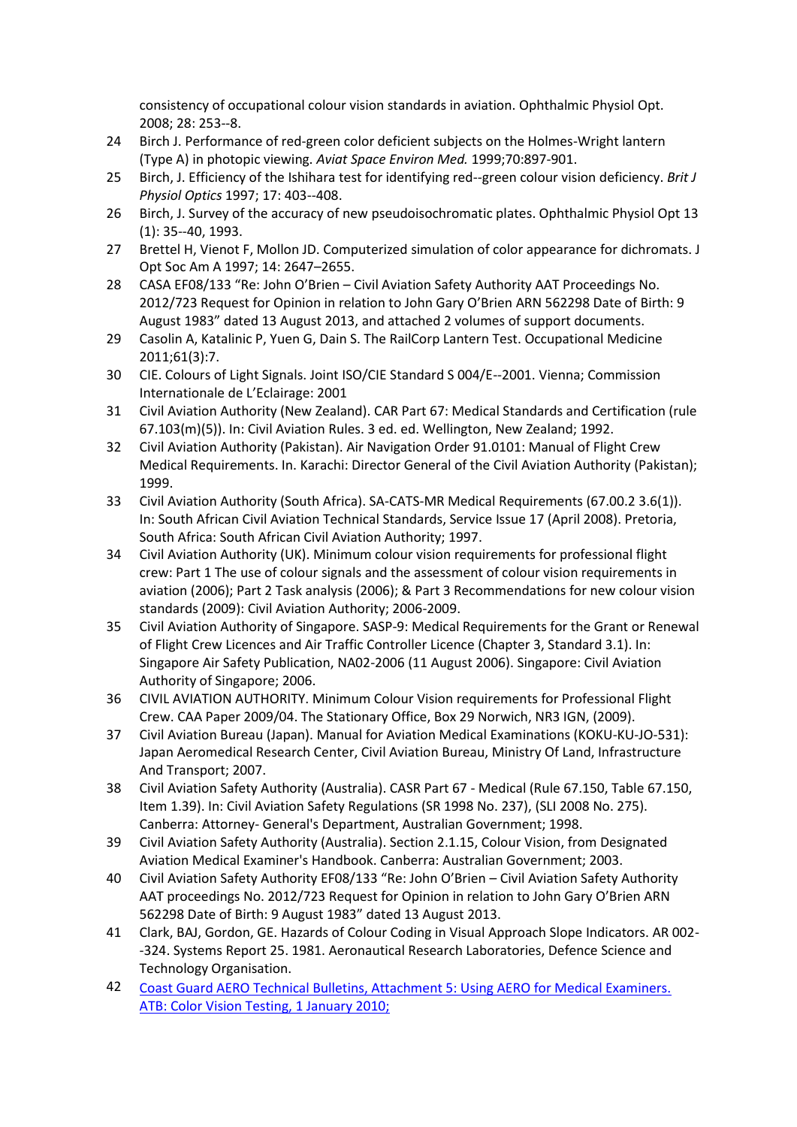consistency of occupational colour vision standards in aviation. Ophthalmic Physiol Opt. 2008; 28: 253-‐8.

- 24 Birch J. Performance of red-green color deficient subjects on the Holmes-Wright lantern (Type A) in photopic viewing. *Aviat Space Environ Med.* 1999;70:897-901.
- 25 Birch, J. Efficiency of the Ishihara test for identifying red-‐green colour vision deficiency. *Brit J Physiol Optics* 1997; 17: 403-‐408.
- 26 Birch, J. Survey of the accuracy of new pseudoisochromatic plates. Ophthalmic Physiol Opt 13 (1): 35-‐40, 1993.
- 27 Brettel H, Vienot F, Mollon JD. Computerized simulation of color appearance for dichromats. J Opt Soc Am A 1997; 14: 2647–2655.
- 28 CASA EF08/133 "Re: John O'Brien Civil Aviation Safety Authority AAT Proceedings No. 2012/723 Request for Opinion in relation to John Gary O'Brien ARN 562298 Date of Birth: 9 August 1983" dated 13 August 2013, and attached 2 volumes of support documents.
- 29 Casolin A, Katalinic P, Yuen G, Dain S. The RailCorp Lantern Test. Occupational Medicine 2011;61(3):7.
- 30 CIE. Colours of Light Signals. Joint ISO/CIE Standard S 004/E-‐2001. Vienna; Commission Internationale de L'Eclairage: 2001
- 31 Civil Aviation Authority (New Zealand). CAR Part 67: Medical Standards and Certification (rule 67.103(m)(5)). In: Civil Aviation Rules. 3 ed. ed. Wellington, New Zealand; 1992.
- 32 Civil Aviation Authority (Pakistan). Air Navigation Order 91.0101: Manual of Flight Crew Medical Requirements. In. Karachi: Director General of the Civil Aviation Authority (Pakistan); 1999.
- 33 Civil Aviation Authority (South Africa). SA-CATS-MR Medical Requirements (67.00.2 3.6(1)). In: South African Civil Aviation Technical Standards, Service Issue 17 (April 2008). Pretoria, South Africa: South African Civil Aviation Authority; 1997.
- 34 Civil Aviation Authority (UK). Minimum colour vision requirements for professional flight crew: Part 1 The use of colour signals and the assessment of colour vision requirements in aviation (2006); Part 2 Task analysis (2006); & Part 3 Recommendations for new colour vision standards (2009): Civil Aviation Authority; 2006-2009.
- 35 Civil Aviation Authority of Singapore. SASP-9: Medical Requirements for the Grant or Renewal of Flight Crew Licences and Air Traffic Controller Licence (Chapter 3, Standard 3.1). In: Singapore Air Safety Publication, NA02-2006 (11 August 2006). Singapore: Civil Aviation Authority of Singapore; 2006.
- 36 CIVIL AVIATION AUTHORITY. Minimum Colour Vision requirements for Professional Flight Crew. CAA Paper 2009/04. The Stationary Office, Box 29 Norwich, NR3 IGN, (2009).
- 37 Civil Aviation Bureau (Japan). Manual for Aviation Medical Examinations (KOKU-KU-JO-531): Japan Aeromedical Research Center, Civil Aviation Bureau, Ministry Of Land, Infrastructure And Transport; 2007.
- 38 Civil Aviation Safety Authority (Australia). CASR Part 67 Medical (Rule 67.150, Table 67.150, Item 1.39). In: Civil Aviation Safety Regulations (SR 1998 No. 237), (SLI 2008 No. 275). Canberra: Attorney- General's Department, Australian Government; 1998.
- 39 Civil Aviation Safety Authority (Australia). Section 2.1.15, Colour Vision, from Designated Aviation Medical Examiner's Handbook. Canberra: Australian Government; 2003.
- 40 Civil Aviation Safety Authority EF08/133 "Re: John O'Brien Civil Aviation Safety Authority AAT proceedings No. 2012/723 Request for Opinion in relation to John Gary O'Brien ARN 562298 Date of Birth: 9 August 1983" dated 13 August 2013.
- 41 Clark, BAJ, Gordon, GE. Hazards of Colour Coding in Visual Approach Slope Indicators. AR 002- ‐324. Systems Report 25. 1981. Aeronautical Research Laboratories, Defence Science and Technology Organisation.
- 42 [Coast Guard AERO Technical Bulletins, Attachment 5: Using AERO for Medical Examiners.](http://uscg.mil/Hr/cg112/cg1122/docs/qiig%2CQIIC_51_Att_5.pdf)  [ATB: Color Vision Testing, 1 January 2010;](http://uscg.mil/Hr/cg112/cg1122/docs/qiig%2CQIIC_51_Att_5.pdf)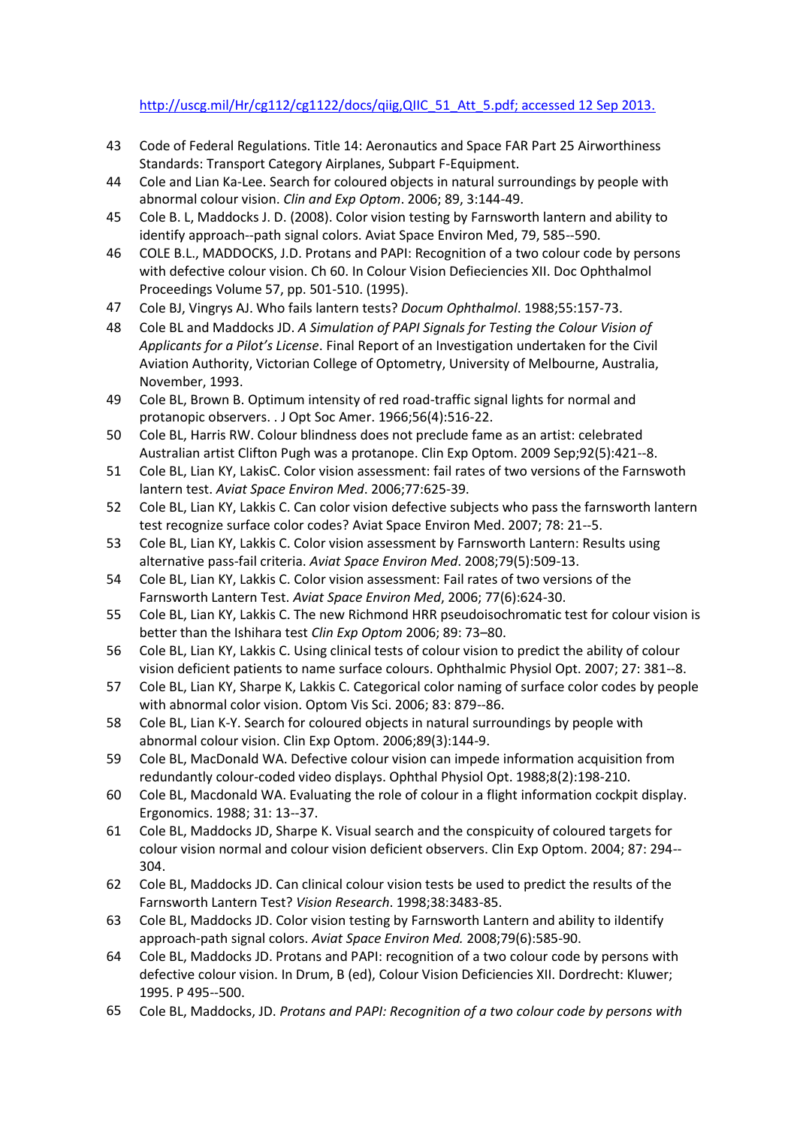## [http://uscg.mil/Hr/cg112/cg1122/docs/qiig,QIIC\\_51\\_Att\\_5.pdf; accessed 12 Sep 2013.](http://uscg.mil/Hr/cg112/cg1122/docs/qiig%2CQIIC_51_Att_5.pdf)

- 43 Code of Federal Regulations. Title 14: Aeronautics and Space FAR Part 25 Airworthiness Standards: Transport Category Airplanes, Subpart F-Equipment.
- 44 Cole and Lian Ka-Lee. Search for coloured objects in natural surroundings by people with abnormal colour vision. *Clin and Exp Optom*. 2006; 89, 3:144-49.
- 45 Cole B. L, Maddocks J. D. (2008). Color vision testing by Farnsworth lantern and ability to identify approach-‐path signal colors. Aviat Space Environ Med, 79, 585-‐590.
- 46 COLE B.L., MADDOCKS, J.D. Protans and PAPI: Recognition of a two colour code by persons with defective colour vision. Ch 60. In Colour Vision Defieciencies XII. Doc Ophthalmol Proceedings Volume 57, pp. 501-510. (1995).
- 47 Cole BJ, Vingrys AJ. Who fails lantern tests? *Docum Ophthalmol*. 1988;55:157-73.
- 48 Cole BL and Maddocks JD. *A Simulation of PAPI Signals for Testing the Colour Vision of Applicants for a Pilot's License*. Final Report of an Investigation undertaken for the Civil Aviation Authority, Victorian College of Optometry, University of Melbourne, Australia, November, 1993.
- 49 Cole BL, Brown B. Optimum intensity of red road-traffic signal lights for normal and protanopic observers. . J Opt Soc Amer. 1966;56(4):516-22.
- 50 Cole BL, Harris RW. Colour blindness does not preclude fame as an artist: celebrated Australian artist Clifton Pugh was a protanope. Clin Exp Optom. 2009 Sep;92(5):421-‐8.
- 51 Cole BL, Lian KY, LakisC. Color vision assessment: fail rates of two versions of the Farnswoth lantern test. *Aviat Space Environ Med*. 2006;77:625-39.
- 52 Cole BL, Lian KY, Lakkis C. Can color vision defective subjects who pass the farnsworth lantern test recognize surface color codes? Aviat Space Environ Med. 2007; 78: 21-‐5.
- 53 Cole BL, Lian KY, Lakkis C. Color vision assessment by Farnsworth Lantern: Results using alternative pass-fail criteria. *Aviat Space Environ Med*. 2008;79(5):509-13.
- 54 Cole BL, Lian KY, Lakkis C. Color vision assessment: Fail rates of two versions of the Farnsworth Lantern Test. *Aviat Space Environ Med*, 2006; 77(6):624-30.
- 55 Cole BL, Lian KY, Lakkis C. The new Richmond HRR pseudoisochromatic test for colour vision is better than the Ishihara test *Clin Exp Optom* 2006; 89: 73–80.
- 56 Cole BL, Lian KY, Lakkis C. Using clinical tests of colour vision to predict the ability of colour vision deficient patients to name surface colours. Ophthalmic Physiol Opt. 2007; 27: 381-‐8.
- 57 Cole BL, Lian KY, Sharpe K, Lakkis C. Categorical color naming of surface color codes by people with abnormal color vision. Optom Vis Sci. 2006; 83: 879-‐86.
- 58 Cole BL, Lian K-Y. Search for coloured objects in natural surroundings by people with abnormal colour vision. Clin Exp Optom. 2006;89(3):144-9.
- 59 Cole BL, MacDonald WA. Defective colour vision can impede information acquisition from redundantly colour-coded video displays. Ophthal Physiol Opt. 1988;8(2):198-210.
- 60 Cole BL, Macdonald WA. Evaluating the role of colour in a flight information cockpit display. Ergonomics. 1988; 31: 13-‐37.
- 61 Cole BL, Maddocks JD, Sharpe K. Visual search and the conspicuity of coloured targets for colour vision normal and colour vision deficient observers. Clin Exp Optom. 2004; 87: 294-‐ 304.
- 62 Cole BL, Maddocks JD. Can clinical colour vision tests be used to predict the results of the Farnsworth Lantern Test? *Vision Research*. 1998;38:3483-85.
- 63 Cole BL, Maddocks JD. Color vision testing by Farnsworth Lantern and ability to iIdentify approach-path signal colors. *Aviat Space Environ Med.* 2008;79(6):585-90.
- 64 Cole BL, Maddocks JD. Protans and PAPI: recognition of a two colour code by persons with defective colour vision. In Drum, B (ed), Colour Vision Deficiencies XII. Dordrecht: Kluwer; 1995. P 495-‐500.
- 65 Cole BL, Maddocks, JD. *Protans and PAPI: Recognition of a two colour code by persons with*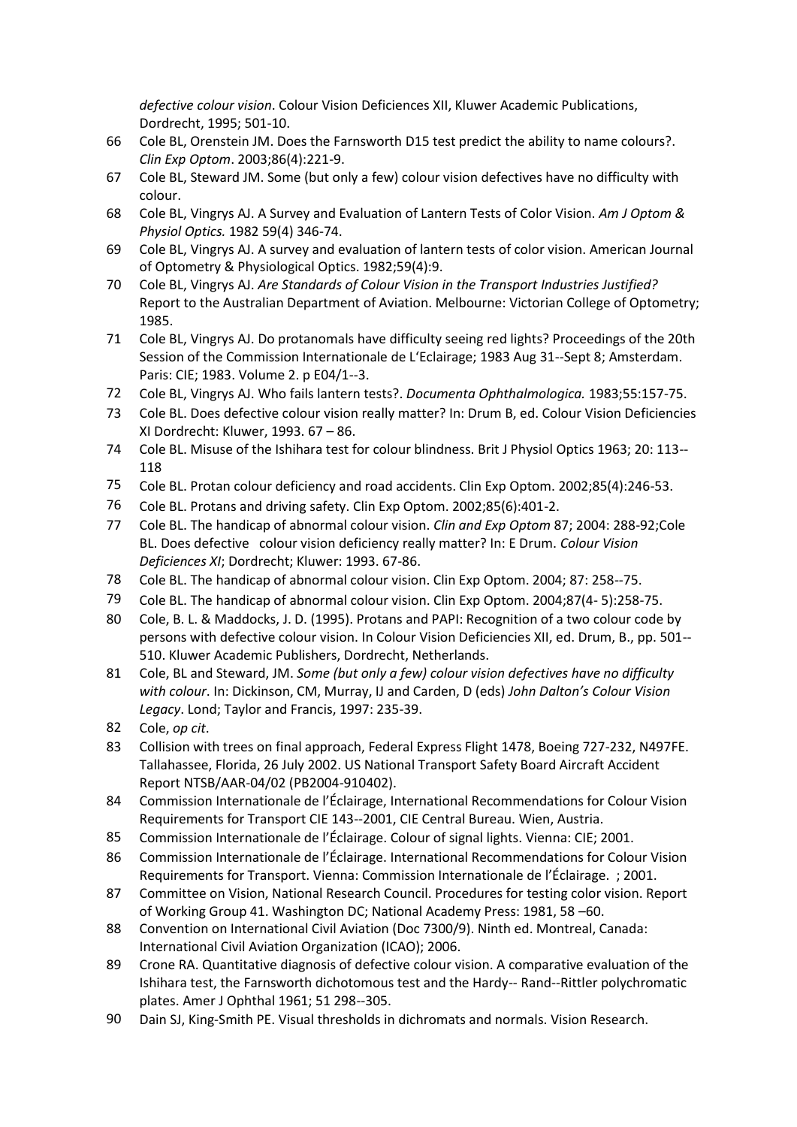*defective colour vision*. Colour Vision Deficiences XII, Kluwer Academic Publications, Dordrecht, 1995; 501-10.

- 66 Cole BL, Orenstein JM. Does the Farnsworth D15 test predict the ability to name colours?. *Clin Exp Optom*. 2003;86(4):221-9.
- 67 Cole BL, Steward JM. Some (but only a few) colour vision defectives have no difficulty with colour.
- 68 Cole BL, Vingrys AJ. A Survey and Evaluation of Lantern Tests of Color Vision. *Am J Optom & Physiol Optics.* 1982 59(4) 346-74.
- 69 Cole BL, Vingrys AJ. A survey and evaluation of lantern tests of color vision. American Journal of Optometry & Physiological Optics. 1982;59(4):9.
- 70 Cole BL, Vingrys AJ. *Are Standards of Colour Vision in the Transport Industries Justified?*  Report to the Australian Department of Aviation. Melbourne: Victorian College of Optometry; 1985.
- 71 Cole BL, Vingrys AJ. Do protanomals have difficulty seeing red lights? Proceedings of the 20th Session of the Commission Internationale de L'Eclairage; 1983 Aug 31-‐Sept 8; Amsterdam. Paris: CIE; 1983. Volume 2. p E04/1-‐3.
- 72 Cole BL, Vingrys AJ. Who fails lantern tests?. *Documenta Ophthalmologica.* 1983;55:157-75.
- 73 Cole BL. Does defective colour vision really matter? In: Drum B, ed. Colour Vision Deficiencies XI Dordrecht: Kluwer, 1993. 67 – 86.
- 74 Cole BL. Misuse of the Ishihara test for colour blindness. Brit J Physiol Optics 1963; 20: 113--118
- 75 Cole BL. Protan colour deficiency and road accidents. Clin Exp Optom. 2002;85(4):246-53.
- 76 Cole BL. Protans and driving safety. Clin Exp Optom. 2002;85(6):401-2.
- 77 Cole BL. The handicap of abnormal colour vision. *Clin and Exp Optom* 87; 2004: 288-92;Cole BL. Does defective colour vision deficiency really matter? In: E Drum. *Colour Vision Deficiences XI*; Dordrecht; Kluwer: 1993. 67-86.
- 78 Cole BL. The handicap of abnormal colour vision. Clin Exp Optom. 2004; 87: 258-‐75.
- 79 Cole BL. The handicap of abnormal colour vision. Clin Exp Optom. 2004;87(4- 5):258-75.
- 80 Cole, B. L. & Maddocks, J. D. (1995). Protans and PAPI: Recognition of a two colour code by persons with defective colour vision. In Colour Vision Deficiencies XII, ed. Drum, B., pp. 501-‐ 510. Kluwer Academic Publishers, Dordrecht, Netherlands.
- 81 Cole, BL and Steward, JM. *Some (but only a few) colour vision defectives have no difficulty with colour*. In: Dickinson, CM, Murray, IJ and Carden, D (eds) *John Dalton's Colour Vision Legacy*. Lond; Taylor and Francis, 1997: 235-39.
- 82 Cole, *op cit*.
- 83 Collision with trees on final approach, Federal Express Flight 1478, Boeing 727-232, N497FE. Tallahassee, Florida, 26 July 2002. US National Transport Safety Board Aircraft Accident Report NTSB/AAR-04/02 (PB2004-910402).
- 84 Commission Internationale de l'Éclairage, International Recommendations for Colour Vision Requirements for Transport CIE 143-‐2001, CIE Central Bureau. Wien, Austria.
- 85 Commission Internationale de l'Éclairage. Colour of signal lights. Vienna: CIE; 2001.
- 86 Commission Internationale de l'Éclairage. International Recommendations for Colour Vision Requirements for Transport. Vienna: Commission Internationale de l'Éclairage. ; 2001.
- 87 Committee on Vision, National Research Council. Procedures for testing color vision. Report of Working Group 41. Washington DC; National Academy Press: 1981, 58 –60.
- 88 Convention on International Civil Aviation (Doc 7300/9). Ninth ed. Montreal, Canada: International Civil Aviation Organization (ICAO); 2006.
- 89 Crone RA. Quantitative diagnosis of defective colour vision. A comparative evaluation of the Ishihara test, the Farnsworth dichotomous test and the Hardy-‐ Rand-‐Rittler polychromatic plates. Amer J Ophthal 1961; 51 298-‐305.
- 90 Dain SJ, King-Smith PE. Visual thresholds in dichromats and normals. Vision Research.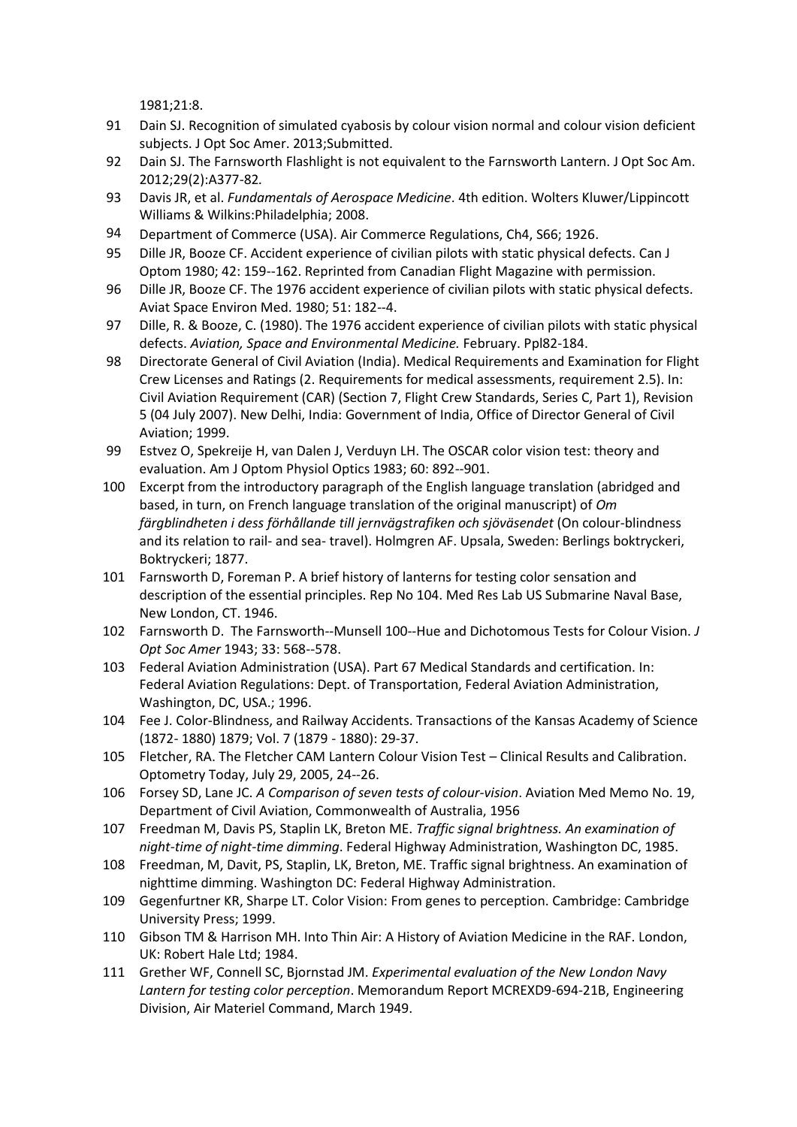1981;21:8.

- 91 Dain SJ. Recognition of simulated cyabosis by colour vision normal and colour vision deficient subjects. J Opt Soc Amer. 2013;Submitted.
- 92 Dain SJ. The Farnsworth Flashlight is not equivalent to the Farnsworth Lantern. J Opt Soc Am. 2012;29(2):A377-82*.*
- 93 Davis JR, et al. *Fundamentals of Aerospace Medicine*. 4th edition. Wolters Kluwer/Lippincott Williams & Wilkins:Philadelphia; 2008.
- 94 Department of Commerce (USA). Air Commerce Regulations, Ch4, S66; 1926.
- 95 Dille JR, Booze CF. Accident experience of civilian pilots with static physical defects. Can J Optom 1980; 42: 159-‐162. Reprinted from Canadian Flight Magazine with permission.
- 96 Dille JR, Booze CF. The 1976 accident experience of civilian pilots with static physical defects. Aviat Space Environ Med. 1980; 51: 182-‐4.
- 97 Dille, R. & Booze, C. (1980). The 1976 accident experience of civilian pilots with static physical defects. *Aviation, Space and Environmental Medicine.* February. Ppl82-184.
- 98 Directorate General of Civil Aviation (India). Medical Requirements and Examination for Flight Crew Licenses and Ratings (2. Requirements for medical assessments, requirement 2.5). In: Civil Aviation Requirement (CAR) (Section 7, Flight Crew Standards, Series C, Part 1), Revision 5 (04 July 2007). New Delhi, India: Government of India, Office of Director General of Civil Aviation; 1999.
- 99 Estvez O, Spekreije H, van Dalen J, Verduyn LH. The OSCAR color vision test: theory and evaluation. Am J Optom Physiol Optics 1983; 60: 892-‐901.
- 100 Excerpt from the introductory paragraph of the English language translation (abridged and based, in turn, on French language translation of the original manuscript) of *Om färgblindheten i dess förhållande till jernvägstrafiken och sjöväsendet* (On colour-blindness and its relation to rail- and sea- travel). Holmgren AF. Upsala, Sweden: Berlings boktryckeri, Boktryckeri; 1877.
- 101 Farnsworth D, Foreman P. A brief history of lanterns for testing color sensation and description of the essential principles. Rep No 104. Med Res Lab US Submarine Naval Base, New London, CT. 1946.
- 102 Farnsworth D. The Farnsworth-‐Munsell 100-‐Hue and Dichotomous Tests for Colour Vision. *J Opt Soc Amer* 1943; 33: 568-‐578.
- 103 Federal Aviation Administration (USA). Part 67 Medical Standards and certification. In: Federal Aviation Regulations: Dept. of Transportation, Federal Aviation Administration, Washington, DC, USA.; 1996.
- 104 Fee J. Color-Blindness, and Railway Accidents. Transactions of the Kansas Academy of Science (1872- 1880) 1879; Vol. 7 (1879 - 1880): 29-37.
- 105 Fletcher, RA. The Fletcher CAM Lantern Colour Vision Test Clinical Results and Calibration. Optometry Today, July 29, 2005, 24-‐26.
- 106 Forsey SD, Lane JC. *A Comparison of seven tests of colour-vision*. Aviation Med Memo No. 19, Department of Civil Aviation, Commonwealth of Australia, 1956
- 107 Freedman M, Davis PS, Staplin LK, Breton ME. *Traffic signal brightness. An examination of night-time of night-time dimming*. Federal Highway Administration, Washington DC, 1985.
- 108 Freedman, M, Davit, PS, Staplin, LK, Breton, ME. Traffic signal brightness. An examination of nighttime dimming. Washington DC: Federal Highway Administration.
- 109 Gegenfurtner KR, Sharpe LT. Color Vision: From genes to perception. Cambridge: Cambridge University Press; 1999.
- 110 Gibson TM & Harrison MH. Into Thin Air: A History of Aviation Medicine in the RAF. London, UK: Robert Hale Ltd; 1984.
- 111 Grether WF, Connell SC, Bjornstad JM. *Experimental evaluation of the New London Navy Lantern for testing color perception*. Memorandum Report MCREXD9-694-21B, Engineering Division, Air Materiel Command, March 1949.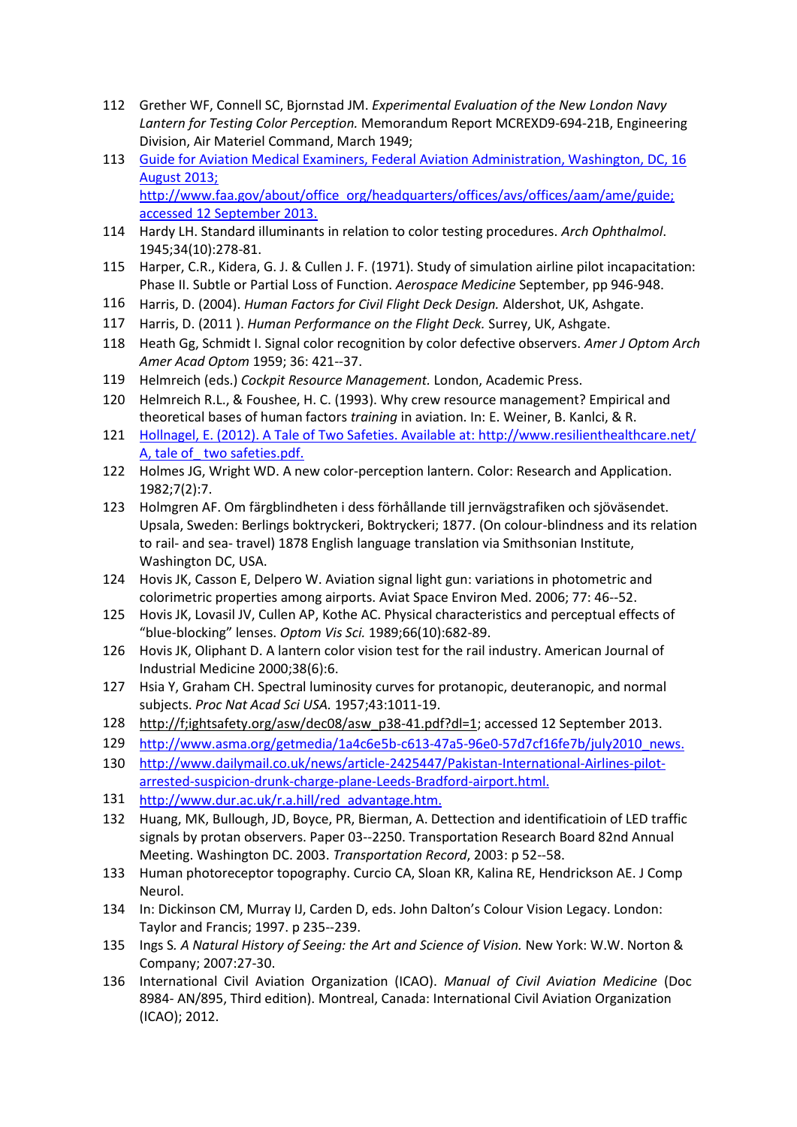- 112 Grether WF, Connell SC, Bjornstad JM. *Experimental Evaluation of the New London Navy Lantern for Testing Color Perception.* Memorandum Report MCREXD9-694-21B, Engineering Division, Air Materiel Command, March 1949;
- 113 [Guide for Aviation Medical Examiners, Federal Aviation Administration, Washington, DC, 16](http://www.faa.gov/about/office_org/headquarters/offices/avs/offices/aam/ame/guide)  [August 2013;](http://www.faa.gov/about/office_org/headquarters/offices/avs/offices/aam/ame/guide)  [http://www.faa.gov/about/office\\_org/headquarters/offices/avs/offices/aam/ame/guide;](http://www.faa.gov/about/office_org/headquarters/offices/avs/offices/aam/ame/guide)  [accessed 12 September 2013.](http://www.faa.gov/about/office_org/headquarters/offices/avs/offices/aam/ame/guide)
- 114 Hardy LH. Standard illuminants in relation to color testing procedures. *Arch Ophthalmol*. 1945;34(10):278-81.
- 115 Harper, C.R., Kidera, G. J. & Cullen J. F. (1971). Study of simulation airline pilot incapacitation: Phase II. Subtle or Partial Loss of Function. *Aerospace Medicine* September, pp 946-948.
- 116 Harris, D. (2004). *Human Factors for Civil Flight Deck Design.* Aldershot, UK, Ashgate.
- 117 Harris, D. (2011 ). *Human Performance on the Flight Deck.* Surrey, UK, Ashgate.
- 118 Heath Gg, Schmidt I. Signal color recognition by color defective observers. *Amer J Optom Arch Amer Acad Optom* 1959; 36: 421-‐37.
- 119 Helmreich (eds.) *Cockpit Resource Management.* London, Academic Press.
- 120 Helmreich R.L., & Foushee, H. C. (1993). Why crew resource management? Empirical and theoretical bases of human factors *training* in aviation. In: E. Weiner, B. Kanlci, & R.
- 121 [Hollnagel, E. \(2012\). A Tale of Two Safeties. Available at: http://www.resilienthealthcare.net/](http://www.resilienthealthcare.net/)  [A, tale of\\_ two safeties.pdf.](http://www.resilienthealthcare.net/)
- 122 Holmes JG, Wright WD. A new color-perception lantern. Color: Research and Application. 1982;7(2):7.
- 123 Holmgren AF. Om färgblindheten i dess förhållande till jernvägstrafiken och sjöväsendet. Upsala, Sweden: Berlings boktryckeri, Boktryckeri; 1877. (On colour-blindness and its relation to rail- and sea- travel) 1878 English language translation via Smithsonian Institute, Washington DC, USA.
- 124 Hovis JK, Casson E, Delpero W. Aviation signal light gun: variations in photometric and colorimetric properties among airports. Aviat Space Environ Med. 2006; 77: 46-‐52.
- 125 Hovis JK, Lovasil JV, Cullen AP, Kothe AC. Physical characteristics and perceptual effects of "blue-blocking" lenses. *Optom Vis Sci.* 1989;66(10):682-89.
- 126 Hovis JK, Oliphant D. A lantern color vision test for the rail industry. American Journal of Industrial Medicine 2000;38(6):6.
- 127 Hsia Y, Graham CH. Spectral luminosity curves for protanopic, deuteranopic, and normal subjects. *Proc Nat Acad Sci USA.* 1957;43:1011-19.
- 128 http://f;ightsafety.org/asw/dec08/asw\_p38-41.pdf?dl=1; accessed 12 September 2013.
- 129 [http://www.asma.org/getmedia/1a4c6e5b-c613-47a5-96e0-57d7cf16fe7b/july2010\\_news.](http://www.asma.org/getmedia/1a4c6e5b-c613-47a5-96e0-57d7cf16fe7b/july2010_news)
- 130 [http://www.dailymail.co.uk/news/article-2425447/Pakistan-International-Airlines-pilot](http://www.dailymail.co.uk/news/article-2425447/Pakistan-International-Airlines-pilot-arrested-suspicion-drunk-charge-plane-Leeds-Bradford-airport.html)[arrested-suspicion-drunk-charge-plane-Leeds-Bradford-airport.html.](http://www.dailymail.co.uk/news/article-2425447/Pakistan-International-Airlines-pilot-arrested-suspicion-drunk-charge-plane-Leeds-Bradford-airport.html)
- 131 [http://www.dur.ac.uk/r.a.hill/red\\_advantage.htm.](http://www.dur.ac.uk/r.a.hill/red_advantage.htm)
- 132 Huang, MK, Bullough, JD, Boyce, PR, Bierman, A. Dettection and identificatioin of LED traffic signals by protan observers. Paper 03-‐2250. Transportation Research Board 82nd Annual Meeting. Washington DC. 2003. *Transportation Record*, 2003: p 52-‐58.
- 133 Human photoreceptor topography. Curcio CA, Sloan KR, Kalina RE, Hendrickson AE. J Comp Neurol.
- 134 In: Dickinson CM, Murray IJ, Carden D, eds. John Dalton's Colour Vision Legacy. London: Taylor and Francis; 1997. p 235-‐239.
- 135 Ings S*. A Natural History of Seeing: the Art and Science of Vision.* New York: W.W. Norton & Company; 2007:27-30.
- 136 International Civil Aviation Organization (ICAO). *Manual of Civil Aviation Medicine* (Doc 8984- AN/895, Third edition). Montreal, Canada: International Civil Aviation Organization (ICAO); 2012.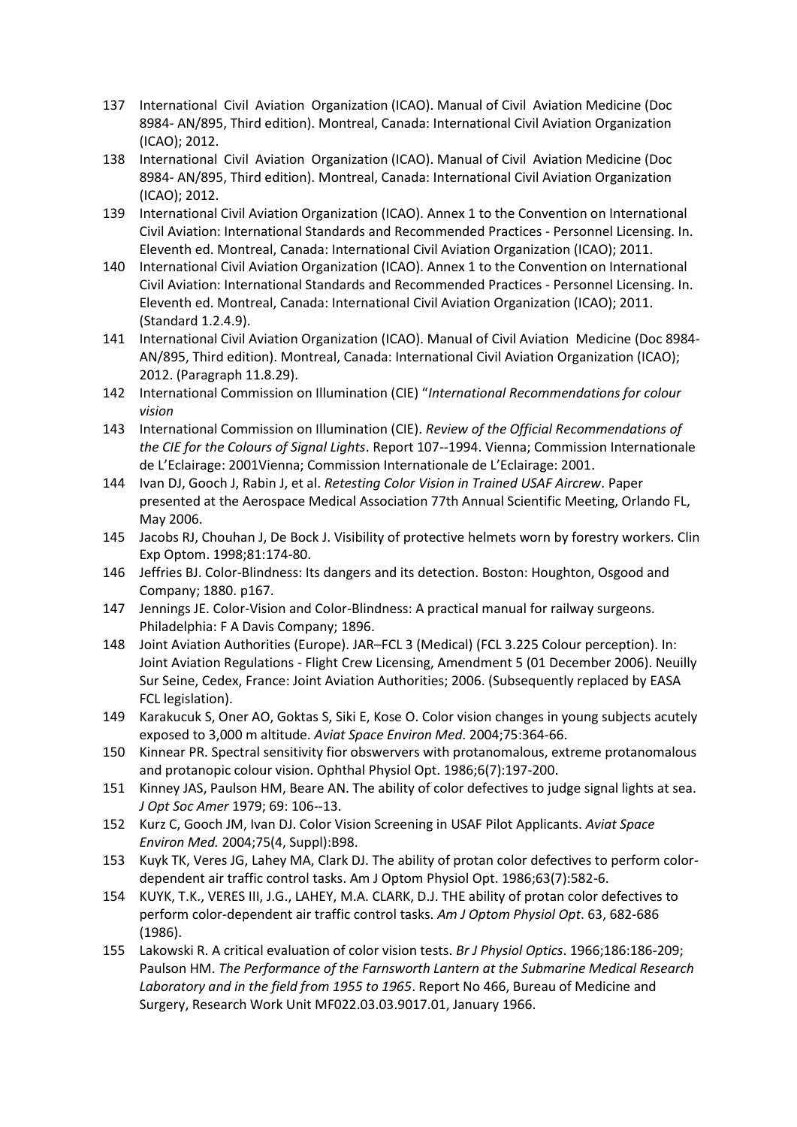- 137 International Civil Aviation Organization (ICAO). Manual of Civil Aviation Medicine (Doc 8984- AN/895, Third edition). Montreal, Canada: International Civil Aviation Organization (ICAO); 2012.
- 138 International Civil Aviation Organization (ICAO). Manual of Civil Aviation Medicine (Doc 8984- AN/895, Third edition). Montreal, Canada: International Civil Aviation Organization (ICAO); 2012.
- 139 International Civil Aviation Organization (ICAO). Annex 1 to the Convention on International Civil Aviation: International Standards and Recommended Practices - Personnel Licensing. In. Eleventh ed. Montreal, Canada: International Civil Aviation Organization (ICAO); 2011.
- 140 International Civil Aviation Organization (ICAO). Annex 1 to the Convention on International Civil Aviation: International Standards and Recommended Practices - Personnel Licensing. In. Eleventh ed. Montreal, Canada: International Civil Aviation Organization (ICAO); 2011. (Standard 1.2.4.9).
- 141 International Civil Aviation Organization (ICAO). Manual of Civil Aviation Medicine (Doc 8984- AN/895, Third edition). Montreal, Canada: International Civil Aviation Organization (ICAO); 2012. (Paragraph 11.8.29).
- 142 International Commission on Illumination (CIE) "*International Recommendations for colour vision*
- 143 International Commission on Illumination (CIE). *Review of the Official Recommendations of the CIE for the Colours of Signal Lights*. Report 107-‐1994. Vienna; Commission Internationale de L'Eclairage: 2001Vienna; Commission Internationale de L'Eclairage: 2001.
- 144 Ivan DJ, Gooch J, Rabin J, et al. *Retesting Color Vision in Trained USAF Aircrew*. Paper presented at the Aerospace Medical Association 77th Annual Scientific Meeting, Orlando FL, May 2006.
- 145 Jacobs RJ, Chouhan J, De Bock J. Visibility of protective helmets worn by forestry workers. Clin Exp Optom. 1998;81:174-80.
- 146 Jeffries BJ. Color-Blindness: Its dangers and its detection. Boston: Houghton, Osgood and Company; 1880. p167.
- 147 Jennings JE. Color-Vision and Color-Blindness: A practical manual for railway surgeons. Philadelphia: F A Davis Company; 1896.
- 148 Joint Aviation Authorities (Europe). JAR–FCL 3 (Medical) (FCL 3.225 Colour perception). In: Joint Aviation Regulations - Flight Crew Licensing, Amendment 5 (01 December 2006). Neuilly Sur Seine, Cedex, France: Joint Aviation Authorities; 2006. (Subsequently replaced by EASA FCL legislation).
- 149 Karakucuk S, Oner AO, Goktas S, Siki E, Kose O. Color vision changes in young subjects acutely exposed to 3,000 m altitude. *Aviat Space Environ Med*. 2004;75:364-66.
- 150 Kinnear PR. Spectral sensitivity fior obswervers with protanomalous, extreme protanomalous and protanopic colour vision. Ophthal Physiol Opt. 1986;6(7):197-200.
- 151 Kinney JAS, Paulson HM, Beare AN. The ability of color defectives to judge signal lights at sea. *J Opt Soc Amer* 1979; 69: 106-‐13.
- 152 Kurz C, Gooch JM, Ivan DJ. Color Vision Screening in USAF Pilot Applicants. *Aviat Space Environ Med.* 2004;75(4, Suppl):B98.
- 153 Kuyk TK, Veres JG, Lahey MA, Clark DJ. The ability of protan color defectives to perform colordependent air traffic control tasks. Am J Optom Physiol Opt. 1986;63(7):582-6.
- 154 KUYK, T.K., VERES III, J.G., LAHEY, M.A. CLARK, D.J. THE ability of protan color defectives to perform color-dependent air traffic control tasks. *Am J Optom Physiol Opt*. 63, 682-686 (1986).
- 155 Lakowski R. A critical evaluation of color vision tests. *Br J Physiol Optics*. 1966;186:186-209; Paulson HM. *The Performance of the Farnsworth Lantern at the Submarine Medical Research Laboratory and in the field from 1955 to 1965*. Report No 466, Bureau of Medicine and Surgery, Research Work Unit MF022.03.03.9017.01, January 1966.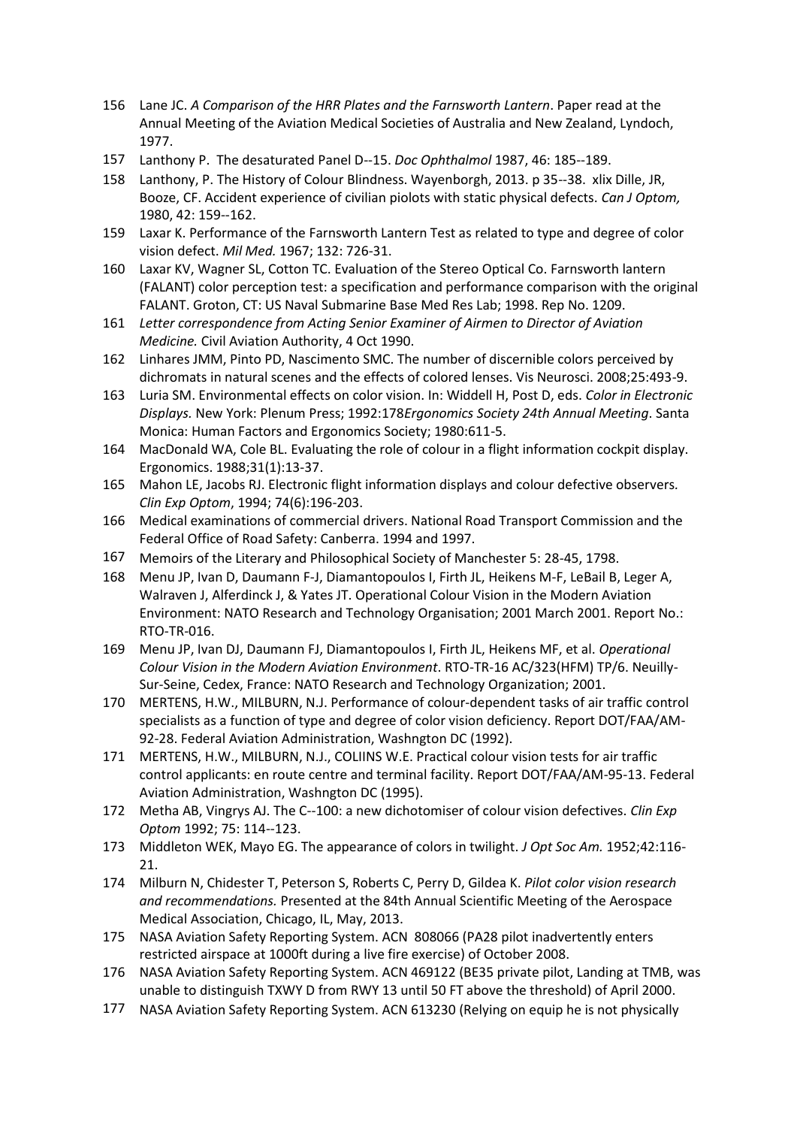- 156 Lane JC. *A Comparison of the HRR Plates and the Farnsworth Lantern*. Paper read at the Annual Meeting of the Aviation Medical Societies of Australia and New Zealand, Lyndoch, 1977.
- 157 Lanthony P. The desaturated Panel D-‐15. *Doc Ophthalmol* 1987, 46: 185-‐189.
- 158 Lanthony, P. The History of Colour Blindness. Wayenborgh, 2013. p 35-‐38. xlix Dille, JR, Booze, CF. Accident experience of civilian piolots with static physical defects. *Can J Optom,*  1980, 42: 159-‐162.
- 159 Laxar K. Performance of the Farnsworth Lantern Test as related to type and degree of color vision defect. *Mil Med.* 1967; 132: 726-31.
- 160 Laxar KV, Wagner SL, Cotton TC. Evaluation of the Stereo Optical Co. Farnsworth lantern (FALANT) color perception test: a specification and performance comparison with the original FALANT. Groton, CT: US Naval Submarine Base Med Res Lab; 1998. Rep No. 1209.
- 161 *Letter correspondence from Acting Senior Examiner of Airmen to Director of Aviation Medicine.* Civil Aviation Authority, 4 Oct 1990.
- 162 Linhares JMM, Pinto PD, Nascimento SMC. The number of discernible colors perceived by dichromats in natural scenes and the effects of colored lenses. Vis Neurosci. 2008;25:493-9.
- 163 Luria SM. Environmental effects on color vision. In: Widdell H, Post D, eds. *Color in Electronic Displays.* New York: Plenum Press; 1992:178*Ergonomics Society 24th Annual Meeting*. Santa Monica: Human Factors and Ergonomics Society; 1980:611-5.
- 164 MacDonald WA, Cole BL. Evaluating the role of colour in a flight information cockpit display. Ergonomics. 1988;31(1):13-37.
- 165 Mahon LE, Jacobs RJ. Electronic flight information displays and colour defective observers*. Clin Exp Optom*, 1994; 74(6):196-203.
- 166 Medical examinations of commercial drivers. National Road Transport Commission and the Federal Office of Road Safety: Canberra. 1994 and 1997.
- 167 Memoirs of the Literary and Philosophical Society of Manchester 5: 28-45, 1798.
- 168 Menu JP, Ivan D, Daumann F-J, Diamantopoulos I, Firth JL, Heikens M-F, LeBail B, Leger A, Walraven J, Alferdinck J, & Yates JT. Operational Colour Vision in the Modern Aviation Environment: NATO Research and Technology Organisation; 2001 March 2001. Report No.: RTO-TR-016.
- 169 Menu JP, Ivan DJ, Daumann FJ, Diamantopoulos I, Firth JL, Heikens MF, et al. *Operational Colour Vision in the Modern Aviation Environment*. RTO-TR-16 AC/323(HFM) TP/6. Neuilly-Sur-Seine, Cedex, France: NATO Research and Technology Organization; 2001.
- 170 MERTENS, H.W., MILBURN, N.J. Performance of colour-dependent tasks of air traffic control specialists as a function of type and degree of color vision deficiency. Report DOT/FAA/AM-92-28. Federal Aviation Administration, Washngton DC (1992).
- 171 MERTENS, H.W., MILBURN, N.J., COLIINS W.E. Practical colour vision tests for air traffic control applicants: en route centre and terminal facility. Report DOT/FAA/AM-95-13. Federal Aviation Administration, Washngton DC (1995).
- 172 Metha AB, Vingrys AJ. The C-‐100: a new dichotomiser of colour vision defectives. *Clin Exp Optom* 1992; 75: 114-‐123.
- 173 Middleton WEK, Mayo EG. The appearance of colors in twilight. *J Opt Soc Am.* 1952;42:116- 21.
- 174 Milburn N, Chidester T, Peterson S, Roberts C, Perry D, Gildea K. *Pilot color vision research and recommendations.* Presented at the 84th Annual Scientific Meeting of the Aerospace Medical Association, Chicago, IL, May, 2013.
- 175 NASA Aviation Safety Reporting System. ACN 808066 (PA28 pilot inadvertently enters restricted airspace at 1000ft during a live fire exercise) of October 2008.
- 176 NASA Aviation Safety Reporting System. ACN 469122 (BE35 private pilot, Landing at TMB, was unable to distinguish TXWY D from RWY 13 until 50 FT above the threshold) of April 2000.
- 177 NASA Aviation Safety Reporting System. ACN 613230 (Relying on equip he is not physically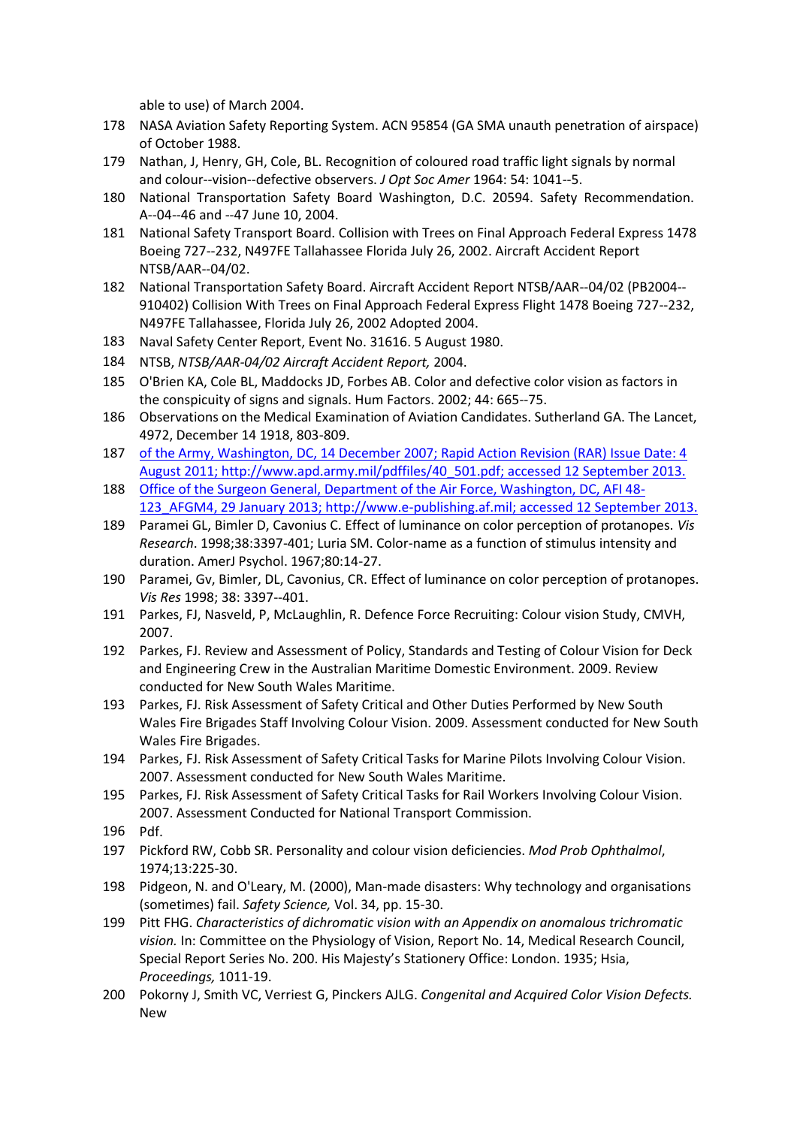able to use) of March 2004.

- 178 NASA Aviation Safety Reporting System. ACN 95854 (GA SMA unauth penetration of airspace) of October 1988.
- 179 Nathan, J, Henry, GH, Cole, BL. Recognition of coloured road traffic light signals by normal and colour-‐vision-‐defective observers. *J Opt Soc Amer* 1964: 54: 1041-‐5.
- 180 National Transportation Safety Board Washington, D.C. 20594. Safety Recommendation. A-‐04-‐46 and -‐47 June 10, 2004.
- 181 National Safety Transport Board. Collision with Trees on Final Approach Federal Express 1478 Boeing 727-‐232, N497FE Tallahassee Florida July 26, 2002. Aircraft Accident Report NTSB/AAR-‐04/02.
- 182 National Transportation Safety Board. Aircraft Accident Report NTSB/AAR-‐04/02 (PB2004-‐ 910402) Collision With Trees on Final Approach Federal Express Flight 1478 Boeing 727-‐232, N497FE Tallahassee, Florida July 26, 2002 Adopted 2004.
- 183 Naval Safety Center Report, Event No. 31616. 5 August 1980.
- 184 NTSB, *NTSB/AAR-04/02 Aircraft Accident Report,* 2004.
- 185 O'Brien KA, Cole BL, Maddocks JD, Forbes AB. Color and defective color vision as factors in the conspicuity of signs and signals. Hum Factors. 2002; 44: 665-‐75.
- 186 Observations on the Medical Examination of Aviation Candidates. Sutherland GA. The Lancet, 4972, December 14 1918, 803-809.
- 187 [of the Army, Washington, DC, 14 December 2007; Rapid Action Revision \(RAR\) Issue Date: 4](http://www.apd.army.mil/pdffiles/40_501.pdf)  [August 2011; http://www.apd.army.mil/pdffiles/40\\_501.pdf; accessed 12 September 2013.](http://www.apd.army.mil/pdffiles/40_501.pdf)
- 188 [Office of the Surgeon General, Department of the Air Force, Washington, DC, AFI 48-](http://www.e-publishing.af.mil/) [123\\_AFGM4, 29 January 2013; http://www.e-publishing.af.mil; accessed 12 September 2013.](http://www.e-publishing.af.mil/)
- 189 Paramei GL, Bimler D, Cavonius C. Effect of luminance on color perception of protanopes. *Vis Research*. 1998;38:3397-401; Luria SM. Color-name as a function of stimulus intensity and duration. AmerJ Psychol. 1967;80:14-27.
- 190 Paramei, Gv, Bimler, DL, Cavonius, CR. Effect of luminance on color perception of protanopes. *Vis Res* 1998; 38: 3397-‐401.
- 191 Parkes, FJ, Nasveld, P, McLaughlin, R. Defence Force Recruiting: Colour vision Study, CMVH, 2007.
- 192 Parkes, FJ. Review and Assessment of Policy, Standards and Testing of Colour Vision for Deck and Engineering Crew in the Australian Maritime Domestic Environment. 2009. Review conducted for New South Wales Maritime.
- 193 Parkes, FJ. Risk Assessment of Safety Critical and Other Duties Performed by New South Wales Fire Brigades Staff Involving Colour Vision. 2009. Assessment conducted for New South Wales Fire Brigades.
- 194 Parkes, FJ. Risk Assessment of Safety Critical Tasks for Marine Pilots Involving Colour Vision. 2007. Assessment conducted for New South Wales Maritime.
- 195 Parkes, FJ. Risk Assessment of Safety Critical Tasks for Rail Workers Involving Colour Vision. 2007. Assessment Conducted for National Transport Commission.
- 196 Pdf.
- 197 Pickford RW, Cobb SR. Personality and colour vision deficiencies. *Mod Prob Ophthalmol*, 1974;13:225-30.
- 198 Pidgeon, N. and O'Leary, M. (2000), Man-made disasters: Why technology and organisations (sometimes) fail. *Safety Science,* Vol. 34, pp. 15-30.
- 199 Pitt FHG. *Characteristics of dichromatic vision with an Appendix on anomalous trichromatic vision.* In: Committee on the Physiology of Vision, Report No. 14, Medical Research Council, Special Report Series No. 200. His Majesty's Stationery Office: London. 1935; Hsia, *Proceedings,* 1011-19.
- 200 Pokorny J, Smith VC, Verriest G, Pinckers AJLG. *Congenital and Acquired Color Vision Defects.*  New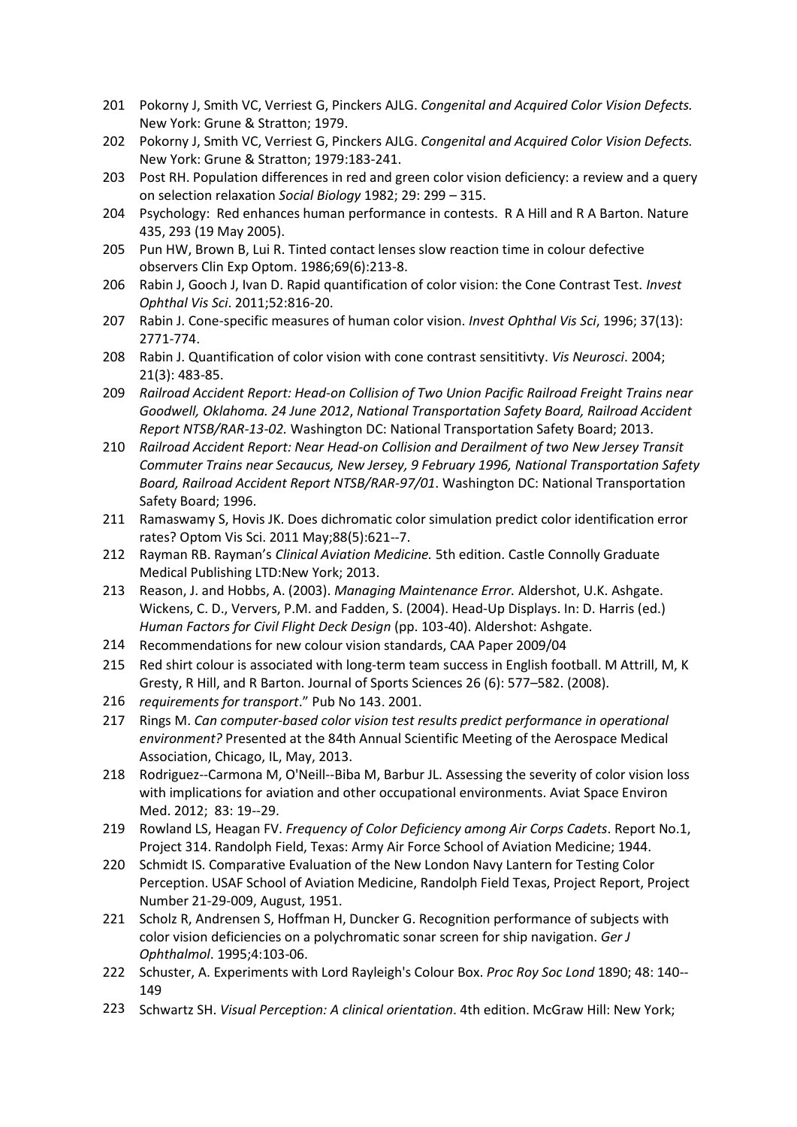- 201 Pokorny J, Smith VC, Verriest G, Pinckers AJLG. *Congenital and Acquired Color Vision Defects.*  New York: Grune & Stratton; 1979.
- 202 Pokorny J, Smith VC, Verriest G, Pinckers AJLG. *Congenital and Acquired Color Vision Defects.*  New York: Grune & Stratton; 1979:183-241.
- 203 Post RH. Population differences in red and green color vision deficiency: a review and a query on selection relaxation *Social Biology* 1982; 29: 299 – 315.
- 204 Psychology: Red enhances human performance in contests. R A Hill and R A Barton. Nature 435, 293 (19 May 2005).
- 205 Pun HW, Brown B, Lui R. Tinted contact lenses slow reaction time in colour defective observers Clin Exp Optom. 1986;69(6):213-8.
- 206 Rabin J, Gooch J, Ivan D. Rapid quantification of color vision: the Cone Contrast Test. *Invest Ophthal Vis Sci*. 2011;52:816-20.
- 207 Rabin J. Cone-specific measures of human color vision. *Invest Ophthal Vis Sci*, 1996; 37(13): 2771-774.
- 208 Rabin J. Quantification of color vision with cone contrast sensititivty. *Vis Neurosci*. 2004; 21(3): 483-85.
- 209 *Railroad Accident Report: Head-on Collision of Two Union Pacific Railroad Freight Trains near Goodwell, Oklahoma. 24 June 2012*, *National Transportation Safety Board, Railroad Accident Report NTSB/RAR-13-02.* Washington DC: National Transportation Safety Board; 2013.
- 210 *Railroad Accident Report: Near Head-on Collision and Derailment of two New Jersey Transit Commuter Trains near Secaucus, New Jersey, 9 February 1996, National Transportation Safety Board, Railroad Accident Report NTSB/RAR-97/01*. Washington DC: National Transportation Safety Board; 1996.
- 211 Ramaswamy S, Hovis JK. Does dichromatic color simulation predict color identification error rates? Optom Vis Sci. 2011 May;88(5):621-‐7.
- 212 Rayman RB. Rayman's *Clinical Aviation Medicine.* 5th edition. Castle Connolly Graduate Medical Publishing LTD:New York; 2013.
- 213 Reason, J. and Hobbs, A. (2003). *Managing Maintenance Error.* Aldershot, U.K. Ashgate. Wickens, C. D., Ververs, P.M. and Fadden, S. (2004). Head-Up Displays. In: D. Harris (ed.) *Human Factors for Civil Flight Deck Design* (pp. 103-40). Aldershot: Ashgate.
- 214 Recommendations for new colour vision standards, CAA Paper 2009/04
- 215 Red shirt colour is associated with long-term team success in English football. M Attrill, M, K Gresty, R Hill, and R Barton. Journal of Sports Sciences 26 (6): 577–582. (2008).
- 216 *requirements for transport*." Pub No 143. 2001.
- 217 Rings M. *Can computer-based color vision test results predict performance in operational environment?* Presented at the 84th Annual Scientific Meeting of the Aerospace Medical Association, Chicago, IL, May, 2013.
- 218 Rodriguez--Carmona M, O'Neill--Biba M, Barbur JL. Assessing the severity of color vision loss with implications for aviation and other occupational environments. Aviat Space Environ Med. 2012; 83: 19-‐29.
- 219 Rowland LS, Heagan FV. *Frequency of Color Deficiency among Air Corps Cadets*. Report No.1, Project 314. Randolph Field, Texas: Army Air Force School of Aviation Medicine; 1944.
- 220 Schmidt IS. Comparative Evaluation of the New London Navy Lantern for Testing Color Perception. USAF School of Aviation Medicine, Randolph Field Texas, Project Report, Project Number 21-29-009, August, 1951.
- 221 Scholz R, Andrensen S, Hoffman H, Duncker G. Recognition performance of subjects with color vision deficiencies on a polychromatic sonar screen for ship navigation. *Ger J Ophthalmol*. 1995;4:103-06.
- 222 Schuster, A. Experiments with Lord Rayleigh's Colour Box. *Proc Roy Soc Lond* 1890; 48: 140-‐ 149
- 223 Schwartz SH. *Visual Perception: A clinical orientation*. 4th edition. McGraw Hill: New York;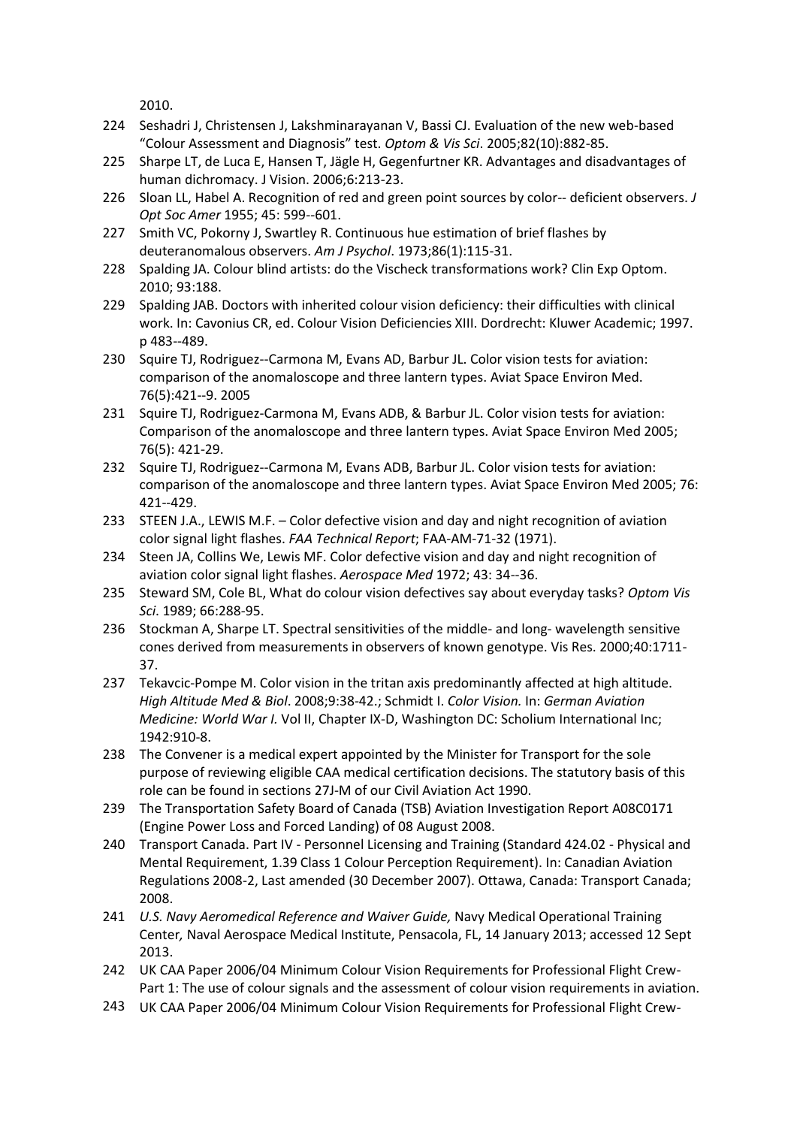2010.

- 224 Seshadri J, Christensen J, Lakshminarayanan V, Bassi CJ. Evaluation of the new web-based "Colour Assessment and Diagnosis" test. *Optom & Vis Sci*. 2005;82(10):882-85.
- 225 Sharpe LT, de Luca E, Hansen T, Jägle H, Gegenfurtner KR. Advantages and disadvantages of human dichromacy. J Vision. 2006;6:213-23.
- 226 Sloan LL, Habel A. Recognition of red and green point sources by color-‐ deficient observers. *J Opt Soc Amer* 1955; 45: 599-‐601.
- 227 Smith VC, Pokorny J, Swartley R. Continuous hue estimation of brief flashes by deuteranomalous observers. *Am J Psychol*. 1973;86(1):115-31.
- 228 Spalding JA. Colour blind artists: do the Vischeck transformations work? Clin Exp Optom. 2010; 93:188.
- 229 Spalding JAB. Doctors with inherited colour vision deficiency: their difficulties with clinical work. In: Cavonius CR, ed. Colour Vision Deficiencies XIII. Dordrecht: Kluwer Academic; 1997. p 483-‐489.
- 230 Squire TJ, Rodriguez-‐Carmona M, Evans AD, Barbur JL. Color vision tests for aviation: comparison of the anomaloscope and three lantern types. Aviat Space Environ Med. 76(5):421-‐9. 2005
- 231 Squire TJ, Rodriguez-Carmona M, Evans ADB, & Barbur JL. Color vision tests for aviation: Comparison of the anomaloscope and three lantern types. Aviat Space Environ Med 2005; 76(5): 421-29.
- 232 Squire TJ, Rodriguez--Carmona M, Evans ADB, Barbur JL. Color vision tests for aviation: comparison of the anomaloscope and three lantern types. Aviat Space Environ Med 2005; 76: 421-‐429.
- 233 STEEN J.A., LEWIS M.F. Color defective vision and day and night recognition of aviation color signal light flashes. *FAA Technical Report*; FAA-AM-71-32 (1971).
- 234 Steen JA, Collins We, Lewis MF. Color defective vision and day and night recognition of aviation color signal light flashes. *Aerospace Med* 1972; 43: 34-‐36.
- 235 Steward SM, Cole BL, What do colour vision defectives say about everyday tasks? *Optom Vis Sci*. 1989; 66:288-95.
- 236 Stockman A, Sharpe LT. Spectral sensitivities of the middle- and long- wavelength sensitive cones derived from measurements in observers of known genotype. Vis Res. 2000;40:1711- 37.
- 237 Tekavcic-Pompe M. Color vision in the tritan axis predominantly affected at high altitude. *High Altitude Med & Biol*. 2008;9:38-42.; Schmidt I. *Color Vision.* In: *German Aviation Medicine: World War I.* Vol II, Chapter IX-D, Washington DC: Scholium International Inc; 1942:910-8.
- 238 The Convener is a medical expert appointed by the Minister for Transport for the sole purpose of reviewing eligible CAA medical certification decisions. The statutory basis of this role can be found in sections 27J-M of our Civil Aviation Act 1990.
- 239 The Transportation Safety Board of Canada (TSB) Aviation Investigation Report A08C0171 (Engine Power Loss and Forced Landing) of 08 August 2008.
- 240 Transport Canada. Part IV Personnel Licensing and Training (Standard 424.02 Physical and Mental Requirement, 1.39 Class 1 Colour Perception Requirement). In: Canadian Aviation Regulations 2008-2, Last amended (30 December 2007). Ottawa, Canada: Transport Canada; 2008.
- 241 *U.S. Navy Aeromedical Reference and Waiver Guide,* Navy Medical Operational Training Center*,* Naval Aerospace Medical Institute, Pensacola, FL, 14 January 2013; accessed 12 Sept 2013.
- 242 UK CAA Paper 2006/04 Minimum Colour Vision Requirements for Professional Flight Crew-Part 1: The use of colour signals and the assessment of colour vision requirements in aviation.
- 243 UK CAA Paper 2006/04 Minimum Colour Vision Requirements for Professional Flight Crew-